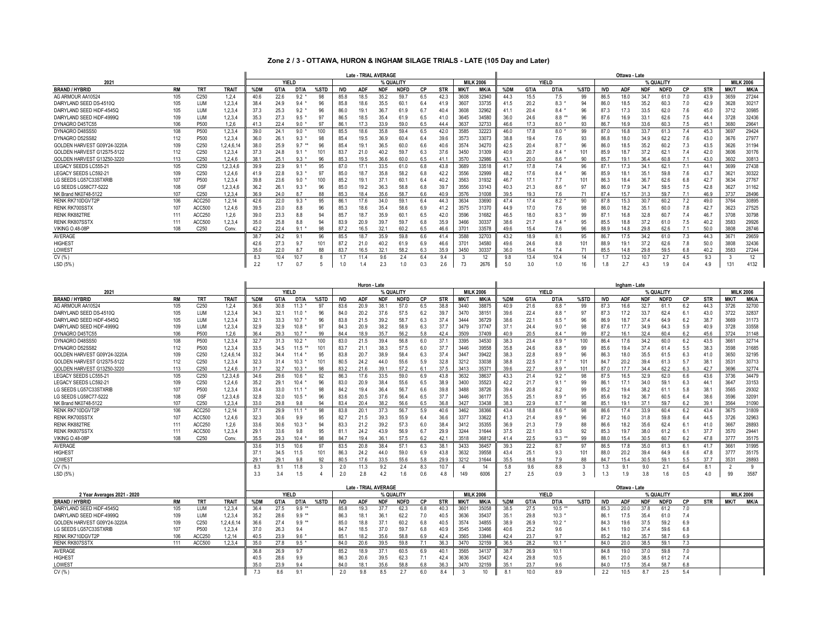## **Zone 2 / 3 - OTTAWA, HURON & INGHAM SILAGE TRIALS - LATE (105 Day and Later)**

|                             |     |                  |              | Late - TRIAL AVERAGE |      |        |           |      |            |            |             |     |            |                  |       | Ottawa - Late |      |           |      |            |            |            |             |           |                  |      |       |
|-----------------------------|-----|------------------|--------------|----------------------|------|--------|-----------|------|------------|------------|-------------|-----|------------|------------------|-------|---------------|------|-----------|------|------------|------------|------------|-------------|-----------|------------------|------|-------|
| 2021                        |     | YIELD            |              |                      |      |        | % QUALITY |      |            |            |             |     |            |                  |       | <b>YIELD</b>  |      | % QUALITY |      |            |            |            |             |           | <b>MILK 2006</b> |      |       |
| <b>BRAND / HYBRID</b>       | RM  | TR <sub>1</sub>  | <b>TRAIT</b> | %DM                  | GT/A | DT/A   | %STD      |      | <b>ADF</b> | <b>NDF</b> | <b>NDFD</b> | СP  | <b>STR</b> | <b>MK/T</b>      | MK/A  | %DM           | GT/A | DT/A      | %STD | <b>IVD</b> | <b>ADF</b> | <b>NDF</b> | <b>NDFD</b> | <b>CP</b> | <b>STR</b>       | MK/1 | MK/A  |
| AG ARMOUR AA10524           | 105 | C <sub>250</sub> | 1.2.4        | 40.6                 | 22.6 | $9.2*$ | 98        | 85.8 | 18.5       | 35.2       | 59.7        | 6.5 | 42.3       | 3608             | 32940 | 44.3          | 15.5 | 7.5       | 99   | 86.5       | 18.0       | 34.7       | 61.0        |           | 43.9             | 3659 | 27244 |
| DAIRYLAND SEED DS-4510Q     | 105 | LUM              | 1,2,3,4      | 38.4                 | 24.9 | 9.4    |           | 85.8 | 18.6       | 35.5       | 60.         | 6.4 | 41.9       | 3607             | 33735 | 41.5          | 20.2 | 8.3       | 94   | 86.0       | 18.5       | 35.2       | 60.3        | 7.0       | 42.9             | 3628 | 30217 |
| DAIRYLAND SEED HIDF-4545C   |     | LUM              | 1,2,3,4      | 37.3                 | 25.3 | 9.2    | 96        | 86.0 | 19.7       | 36.7       | 61.9        | 6.7 | 40.4       | 3608             | 32962 | 41.1          | 20.4 | 8.4       | 96   | 87.3       | 17.3       | 33.5       | 62.0        | 7.6       | 45.0             | 3712 | 30985 |
| DAIRYLAND SEED HIDF-4999C   |     | LUM              | 1,2,3,4      | 35.3                 | 27.3 | $9.5*$ | 97        | 86.5 | 18.5       | 35.4       | 61.9        | 6.5 | 41.0       | 3645             | 34580 | 36.0          | 24.6 | $8.8***$  |      | 87.6       | 16.9       | 33.        | 62.6        | 7.5       | 44.4             | 3728 | 32436 |
| DYNAGRO D45TC55             | 106 | P500             | 1.2.6        | 41.3                 | 22.4 | 9.0    | 97        | 86.  |            | 33.9       | 59.0        | 6.5 | 44.4       | 3637             | 32733 | 46.6          | 17.3 | $8.0*$    | 93   | 86.7       | 16.9       | 33.6       | 60.3        | 7.5       | 45.1             | 3680 | 29641 |
| DYNAGRO D48SS50             | 108 | P500             | 1.2.3.4      | 39.0                 | 24.1 | $9.0*$ | 100       | 85.5 | 18.6       | 35.8       | 59.4        | 6.5 | 42.0       | 3585             | 32223 | 46.0          | 17.8 | 8.0       | 99   | 87.0       | 16.8       | 33.7       | 61.3        |           | 45.3             | 3697 | 29424 |
| DYNAGRO D52SS82             |     | P500             | 1,2,3,4      | 36.0                 | 26.1 | 9.3    |           | 85.4 | 19.5       | 36.9       | 60.4        | 6.4 | 39.6       | 3573             | 33073 | 38.8          | 19.4 | 7.6       | 93   | 86.8       | 18.0       | 34.9       | 62.2        | 7.6       | 43.0             | 3676 | 27977 |
| GOLDEN HARVEST G09Y24-3220A |     | C250             | 1,2,4,6,1    | 38.0                 | 25.9 | 9.7    |           | 85.  | 19.        | 36.5       | 60.0        | 6.6 | 40.6       | 3574             | 34270 | 42.5          | 20.4 | 8.7       | 96   | 86.0       | 18.5       | 35.2       | 60.2        | 7.3       | 43.5             | 3626 | 31194 |
| GOLDEN HARVEST G12S75-5122  |     | C250             | 1,2,3,4      | 37.3                 | 24.8 | 9.1    |           | 83.  | 21.0       | 40.2       | 59.7        | 6.3 | 37.6       | 3450             | 31309 | 40.9          | 20.7 | $8.4*$    |      | 85.9       | 18.7       | 37.2       | 62.         |           | 42.0             | 3606 | 30176 |
| GOLDEN HARVEST G13Z50-3220  |     | C250             | 1.2.4.6      | 38.1                 | 25.1 | $9.3*$ | 96        | 85.3 | 19.5       | 36.6       | 60.0        | 6.5 | 41.1       | 3570             | 32986 | 43.1          | 20.0 | 8.6       | 90   | 85.7       | 19.1       | 36.4       | 60.8        |           | 43.0             | 3602 | 30813 |
| LEGACY SEEDS LC555-21       | 105 | C <sub>250</sub> | 1,2,3,4,6    | 39.9                 | 22.9 | $9.1*$ | 95        | 87.0 | 17.7       | 33.5       | 61.0        | 6.8 | 43.8       | 3689             | 33518 | 41.7          | 17.8 | 7.4       | 96   | 87.7       | 17.3       | 34.        | 62.         |           | 44.1             | 3699 | 27438 |
| LEGACY SEEDS LC592-21       |     | C <sub>250</sub> | 1,2,4,6      | 41.9                 | 22.8 | $9.3*$ | 97        | 85.0 | 18.7       | 35.8       | 58.2        | 6.8 | 42.2       | 3556             | 32999 | 48.2          | 17.6 | 8.4       | 96   | 85.9       | 18.1       | 35.        | 59.8        | 7.6       | 43.7             | 362  | 30322 |
| LG SEEDS LG57C33STXRIB      |     | P500             | 1,2,3,4      | 39.8                 | 23.6 | $9.0*$ |           | 85.2 | 19.1       | 37.        | 60.         | 6.4 | 40.2       | 3563             | 31932 | 46.7          | 17.1 | 7.7       |      | 86.3       | 18.4       | 36.7       | 62.6        | 6.8       | 42.7             | 363  | 27767 |
| LG SEEDS LG58C77-5222       |     | OSF              | 1,2,3,4,6    | 36.2                 | 26.1 | 9.3    |           | 85.0 | 19.2       | 36.3       | 58.8        | 6.8 | 39.7       | 3556             | 33143 | 40.3          | 21.3 | 8.6       |      | 86.0       | 17.9       | 34.        | 59.5        | 7.5       | 42.8             | 3627 | 31162 |
| NK Brand NK0748-5122        | 107 | C250             | 1.2.3.4      | 36.9                 | 24.0 |        | 88        | 85.3 | 18.4       | 35.6       | 58.         | 6.6 | 40.9       | 3576             | 31008 | 39.5          | 19.3 | 7.6       |      | 87.4       | 15.7       | 31.3       | 59.7        |           | 46.9             | 3737 | 28496 |
| RENK RK710DGVT2P            | 106 | ACC250           | 1.2.14       | 42.6                 | 22.0 | $9.3*$ | 95        | 86.  |            | 34.0       | 59.1        | 6.4 | 44.3       | 3634             | 33690 | 47.4          | 17.4 | 8.2       | 90   | 87.8       | 15.3       | 30.7       | 60.2        |           | 49.0             | 3764 | 30895 |
| <b>RENK RK700SSTX</b>       |     | ACC500           | 1,2,4,6      | 39.5                 | 23.0 | 8.8    | 96        | 85.3 | 18.6       | 35.4       | 58.6        | 6.9 | 41.2       | 3575             | 31370 | 44.9          | 17.0 | 7.6       | 98   | 86.0       | 18.2       | 35.        | 60.0        | 7.8       | 42.7             | 3623 | 27525 |
| <b>RENK RK882TRE</b>        |     | ACC250           | 1,2,6        | 39.0                 | 23.3 | 8.8    | 94        | 85.  | 18.7       | 35.9       | 60.1        | 6.5 | 42.0       | 3596             | 31682 | 46.5          | 18.0 | 8.3       | 99   | 87.1       | 16.8       | 32.8       | 60.7        | 7.4       | 46.7             | 3708 | 30798 |
| RENK RK807SST>              |     | ACC500           | 1,2,3,4      | 35.0                 | 25.8 | 8.8    | 94        | 83.9 | 20.9       | 39.7       | 59.7        | 6.8 | 35.9       | 3466             | 30337 | 38.6          | 21.7 | 8.4       | 95   | 85.5       | 18.8       | 37.2       | 61.0        | 7.5       | 40.2             | 3583 | 29926 |
| <b>VIKING 0.48-08P</b>      | 108 | C <sub>250</sub> | Conv.        | 42.2                 | 22.4 |        | 98        | 87.2 |            | 32.        | 60.2        | 6.5 | 46.6       | 370              | 33578 | 49.6          | 15.4 | 7.6       | 96   | 88.9       | 14.8       | 29.8       | 62.6        |           | 50.0             | 3808 | 28746 |
| AVERAGE                     |     |                  |              | 38.                  | 24.2 | 9.1    | 96        | 85.5 | 18.        | 35.9       | 59.8        | 6.6 | 41.4       | 3588             | 32703 | 43.2          | 18.9 | 8.1       | 95   | 86.7       | 17.5       | 34.2       | 61.0        |           | 44.3             | 367' | 29659 |
| <b>HIGHEST</b>              |     |                  |              |                      | 27.3 |        | 101       | 87.2 | 21.0       | 40.2       | 61.9        | 6.9 | 46.6       | 370 <sup>°</sup> | 34580 | 49.6          | 24.6 | 8.8       |      | 88.9       | 19.1       | 37.2       | 62.6        | 7.8       | 50.0             | 3808 | 32436 |
| LOWEST                      |     |                  |              | 35(                  | 22.0 |        | 88        | 83.  |            | 32.        | 58.2        | 6.3 | 35.9       | 3450             | 30337 | 36.0          | 15.4 | 7.4       |      | 85.5       | 14.8       | 29.8       | 59.5        | 6.8       | 40.2             | 3583 | 27244 |
| CV(% )                      |     |                  |              | 8.3                  | 10.4 | 10.7   |           |      |            | 9.6        | 2.4         | 6.4 | 9.4        |                  | 12    | 9.8           | 13.4 | 10.4      | 14   |            | 13.2       | 10.7       | 2.7         |           | 9.3              |      | 12    |
| LSD (5%)                    |     |                  |              | 2.2                  |      |        |           |      |            |            | 1.0         |     | 2.6        | 73               | 2676  |               | 3.0  | 1.0       | 16   |            |            |            |             |           |                  | 131  | 4132  |

|                             |           |                  |              | Huron - Late       |      |              |      |            |            |                             |             |     |            |                  |                    | Ingham - Late |       |          |      |            |            |            |                  |           |                  |                |             |
|-----------------------------|-----------|------------------|--------------|--------------------|------|--------------|------|------------|------------|-----------------------------|-------------|-----|------------|------------------|--------------------|---------------|-------|----------|------|------------|------------|------------|------------------|-----------|------------------|----------------|-------------|
| 2021                        |           |                  |              | YIELD<br>% QUALITY |      |              |      |            |            |                             |             |     |            | <b>MILK 2006</b> | YIELD<br>% QUALITY |               |       |          |      |            |            |            | <b>MILK 2006</b> |           |                  |                |             |
| <b>BRAND / HYBRID</b>       | <b>RM</b> | <b>TRT</b>       | <b>TRAIT</b> | %DM                | GT/A | DT/A         | %STD | <b>IVD</b> | <b>ADF</b> | <b>NDF</b>                  | <b>NDFD</b> | СP  | <b>STR</b> | <b>MK/T</b>      | <b>MK/A</b>        | %DM           | GT/A  | DT/A     | %STD | IVD        | <b>ADF</b> | <b>NDF</b> | NDFD             | СP        | <b>STR</b>       | MK/1           | <b>MK/A</b> |
| AG ARMOUR AA10524           | 105       | C <sub>250</sub> | 1,2,4        | 36.6               | 30.8 | 11.3         | 97   | 83.6       | 20.9       | 38.                         | 57.0        | 6.5 | 38.8       | 3440             | 38875              | 40.9          | 21.6  | 8.8      | 99   | 87.3       | 16.6       | 32.7       | 61.1             | 6.2       | 44.3             | 3726           | 32700       |
| DAIRYLAND SEED DS-4510Q     | 105       | LUM              | 1,2,3,4      | 34.3               | 32.1 | 11.0         | 96   | 84.0       | 20.2       | 37.6                        | 57.5        | 6.2 | 39.7       | 3470             | 38151              | 39.6          | 22.4  | 8.8      | 97   | 87.3       | 17.2       | 33.7       | 62.4             | 6.1       | 43.0             | 3722           | 32837       |
| DAIRYLAND SEED HIDF-4545C   | 105       | LUM              | 1,2,3,4      | 32.1               | 33.3 | 10.7         | 96   | 83.8       | 21.5       | 39.2                        | 58.7        | 6.3 | 37.4       | 3444             | 36729              | 38.6          | 22.1  | 8.5      | 96   | 86.9       | 18.7       | 37.4       | 64.9             | 6.2       | 38.7             | 3669           | 31173       |
| DAIRYLAND SEED HIDF-4999C   | 109       | LUM              | 1,2,3,4      | 32.9               | 32.9 | 10.8         | 97   | 84.3       | 20.9       | 38.2                        | 58.9        | 6.3 | 37.7       | 3479             | 37747              | 37.1          | 24.4  | 9.0      | 98   | 87.6       | 17.7       | 34.9       | 64.3             | 5.9       | 40.9             | 3728           | 33558       |
| DYNAGRO D45TC55             | 106       | P500             | 1.2.6        | 36.4               | 29.3 | 10.7         | 99   | 84.4       | 18.9       | 35.7                        | 56.2        | 5.8 | 42.4       | 3509             | 37409              | 40.9          | 20.5  | $8.4*$   | 99   | 87.2       | 16.1       | 32.4       | 60.4             | 6.2       | 45.6             | 3724           | 31148       |
| DYNAGRO D48SS50             | 108       | P500             | 1,2,3,4      | 32.7               | 31.3 | $10.2$ *     | 100  | 83.0       | 21.5       | 39.4                        | 56.8        | 6.0 | 37.1       | 3395             | 34530              | 38.3          | 23.4  | $8.9*$   | 100  | 86.4       | 17.6       | 34.2       | 60.0             | 6.2       | 43.5             | 3661           | 32714       |
| DYNAGRO D52SS82             | 112       | P500             | 1,2,3,4      | 33.5               | 34.5 | $11.5$ **    | 101  | 83.7       | 21.1       | 38.3                        | 57.5        | 6.0 | 37.7       | 3446             | 39558              | 35.8          | 24.6  | 8.8      | 99   | 85.6       | 19.4       | 37.4       | 61.4             | 5.5       | 38.3             | 3598           | 31685       |
| GOLDEN HARVEST G09Y24-3220A | 109       | C <sub>250</sub> | 1,2,4,6,14   | 33.2               | 34.4 | 11.4         | 95   | 83.8       | 20.7       | 38.9                        | 58.4        | 6.3 | 37.4       | 3447             | 39422              | 38.3          | 22.8  | 8.9      | 96   | 86.3       | 18.0       | 35.5       | 61.5             | 6.3       | 41.0             | 3650           | 32195       |
| GOLDEN HARVEST G12S75-5122  | 112       | C250             | 1,2,3,4      | 32.3               | 31.4 | 10.3         | 101  | 80.5       | 24.2       | 44.0                        | 55.6        | 5.9 | 32.8       | 3212             | 33038              | 38.8          | 22.5  | 8.7      | 101  | 84.7       | 20.2       | 39.4       | 61.3             | 5.7       | 38.7             | 353'           | 30713       |
| GOLDEN HARVEST G13Z50-3220  | 113       | C250             | 1.2.4.6      | 31.7               | 32.7 | 10.3         | 98   | 83.2       | 21.6       | 39.                         | 57.2        | 6.1 | 37.5       | 3413             | 3537               | 396           | 22.7  | $8.9*$   | 101  | 87.0       | 17.7       | 34.4       | 62.2             | 6.3       | 42.7             | 3696           | 32774       |
| LEGACY SEEDS LC555-21       | 105       | C250             | 1,2,3,4,6    | 34.6               | 29.6 | 10.6         | 92   | 86.3       | 17.6       | 33.5                        | 59.0        | 6.9 | 43.8       | 3632             | 38637              | 43.3          | 21.4  | $9.2*$   | 98   | 87.5       | 16.5       | 32.9       | 62.0             | 6.6       | 43.6             | 3736           | 34479       |
| LEGACY SEEDS LC592-21       | 109       | C250             | 1,2,4,6      | 35.2               | 29.1 | 10.4         | 96   | 83.0       | 20.9       | 38.4                        | 55.6        | 6.5 | 38.9       | 3400             | 35523              | 42.2          | 21.7  | $9.1*$   | 99   | 86.1       | 17.1       | 34.0       | 59.1             | 6.3       | 44.              | 3647           | 33153       |
| LG SEEDS LG57C33STXRIB      |           | P500             | 1,2,3,4      | 33.4               | 33.0 | 11.1         | 98   | 84.2       | 19.4       | 36.4                        | 56.7        | 6.6 | 39.8       | 3488             | 38726              | 39.4          | 20.8  | 8.2      | 99   | 85.2       | 19.4       | 38.2       | 61.1             | 5.8       | 38.              | 3565           | 29302       |
| LG SEEDS LG58C77-5222       | 108       | OSF              | 1,2,3,4,6    | 32.8               | 32.0 | 10.5         | 96   | 83.6       | 20.5       | 37.6                        | 56.4        | 6.5 | 37.7       | 3446             | 36177              | 35.5          | 25.1  | 8.9      | 95   | 85.6       | 19.2       | 36.7       | 60.5             | 6.4       | 38.6             | 3596           | 32091       |
| NK Brand NK0748-5122        | 107       | C250             | 1.2.3.4      | 33.0               | 29.8 | 9.8          | 94   | 83.4       | 20.4       | 38.2                        | 56.6        | 6.5 | 36.8       | 3427             | 33438              | 38.3          | 22.9  | $8.7*$   | 98   | 85.1       | 19.1       | 37.1       | 59.7             | 6.2       | 39.1             | 3564           | 31090       |
| RENK RK710DGVT2P            | 106       | ACC250           | 1, 2, 14     | 37.1               | 29.9 | 11.1         | 98   | 83.8       | 20.7       | 37.3                        | 56.7        | 5.9 | 40.6       | 3462             | 38366              | 43.4          | 18.8  | 8.6      | 98   | 86.6       | 17.4       | 33.9       | 60.4             | 6.2       | 43.4             | 3675           | 31809       |
| <b>RENK RK700SSTX</b>       |           | ACC500           | 1,2,4,6      | 32.3               | 30.6 | 9.9          | 95   | 82.        | 21.5       | 39.3                        | 55.9        | 6.4 | 36.6       | 3377             | 33622              | 41.3          | 21.4  | 8.9      | 96   | 87.2       | 16.0       | 31.8       | 59.8             | 6.4       | 44.5             | 3726           | 32963       |
| <b>RENK RK882TRE</b>        |           | ACC250           | 1,2,6        | 33.6               | 30.6 | 10.3         | 94   | 83.3       | 21.2       | 39.2                        | 57.3        | 6.0 | 38.4       | 3412             | 35355              | 36.9          | 21.3  | 7.9      | 88   | 86.6       | 18.2       | 35.6       | 62.4             | 6.1       | 41.0             | 3667           | 28893       |
| <b>RENK RK807SSTX</b>       | 111       | ACC500           | 1.2.3.4      | 29.1               | 33.6 | 9.8          | 95   | 81.1       | 24.2       | 43.9                        | 56.9        | 6.7 | 29.9       | 3244             | 31644              | 37.5          | 22.1  | 8.3      | 92   | 85.3       | 19.7       | 38.0       | 61.2             | 6.1       | 37.7             | 3570           | 29441       |
| <b>VIKING 0.48-08P</b>      | 108       | C <sub>250</sub> | Conv         | 35.5               | 29.3 | 10.4         | 98   | 84.7       | 19.4       | 36.1                        | 57.5        | 6.2 | 42.1       | 3518             | 36812              | 41.4          | 22.5  | $9.3***$ | 99   | 88.0       | 15.4       | 30.5       | 60.7             | 6.2       | 47.8             | 3777           | 35175       |
| <b>AVERAGE</b>              |           |                  |              | 33.6               | 31.5 | 10.6         | 97   | 83.5       | 20.8       | 38.4                        | 57.1        | 6.3 | 38.1       | 3433             | 36457              | 39.3          | 22.2  | 8.7      | 97   | 86.5       | 17.8       | 35.0       | 61.3             | 6.1       | 41.7             | 366'           | 31995       |
| <b>HIGHEST</b>              |           |                  |              | 37.1               | 34.5 | 11.5         | 101  | 86.3       | 24.2       | 44.0                        | 59.0        | 6.9 | 43.8       | 3632             | 39558              | 43.4          | 25.1  | 9.3      | 101  | 88.0       | 20.2       | 39.4       | 64.9             | 6.6       | 47.8             | 3777           | 35175       |
| <b>LOWEST</b>               |           |                  |              | 29.7               | 29.1 | 9.8          | 92   | 80.5       | 17.6       | 33.5                        | 55.6        | 5.8 | 29.9       | 3212             | 31644              | 35.5          | 18.8  | 7.9      | 88   | 84.7       | 15.4       | 30.5       | 59.1             | 5.5       | 37.7             | 353'           | 28893       |
| CV(% )                      |           |                  |              | 8.3                | 9.1  | 11.8         | 3    | 2.0        | 11.3       | 9.2                         | 2.4         | 8.3 | 10.7       | $\mathbf{A}$     | 14                 | 5.8           | 9.6   | 8.8      | 3    | 1.3        | 9.1        | 9.0        | 2.1              | 6.4       | 8.1              | $\overline{2}$ | -9          |
| LSD (5%)                    |           |                  |              | 3.3                | 3.4  | 1.5          |      | 2.0        | 2.8        | 4.2                         | 1.6         | 0.6 | 4.8        | 149              | 6006               | 2.7           | 2.5   | 0.9      | 3    | 1.3        | 1.9        | 3.8        | 1.6              | 0.5       | 4.0              | 99             | 3587        |
|                             |           |                  |              |                    |      |              |      |            |            | <b>Late - TRIAL AVERAGE</b> |             |     |            |                  |                    | Ottawa - Late |       |          |      |            |            |            |                  |           |                  |                |             |
| 2 Year Averages 2021 - 2020 |           |                  |              |                    |      | <b>YIELD</b> |      |            |            |                             | % QUALITY   |     |            |                  | <b>MILK 2006</b>   |               | YIELD |          |      |            | % QUALITY  |            |                  |           | <b>MILK 2006</b> |                |             |
| <b>BRAND / HYBRID</b>       | <b>RM</b> | <b>TRT</b>       | <b>TRAIT</b> | %DM                | GT/A | DT/A         | %STD | <b>IVD</b> | <b>ADF</b> | <b>NDF</b>                  | <b>NDFD</b> | CP  | <b>STR</b> | <b>MK/T</b>      | <b>MK/A</b>        | %DM           | GT/A  | DT/A     | %STD | <b>IVD</b> | <b>ADF</b> | <b>NDF</b> | NDFD             | <b>CP</b> | <b>STR</b>       | MK/T           | <b>MK/A</b> |
| DAIRYLAND SEED HiDF-4545Q   | 105       | LUM              | 1,2,3,4      | 36.4               | 27.5 | $9.9**$      |      | 85.8       | 19.3       | 37.7                        | 62.3        | 6.8 | 40.3       | 3601             | 35058              | 38.5          | 27.5  | $10.5$ * |      | 85.3       | 20.0       | 37.8       | 61.2             | 7.0       |                  |                |             |
| DAIRYLAND SEED HIDF-4999C   | 109       | LUM              | 1,2,3,4      | 35.2               | 28.6 | $9.9**$      |      | 86.3       | 18.1       | 36.                         | 62.2        | 7.0 | 40.5       | 3636             | 35437              | 35.1          | 29.8  | $10.3*$  |      | 86.1       | 17.5       | 35.4       | 61.0             | 7.4       |                  |                |             |
| GOLDEN HARVEST G09Y24-3220A | 109       | C <sub>250</sub> | 1,2,4,6,14   | 36.6               | 27.4 | $9.9**$      |      | 85.0       | 18.8       | 37.1                        | 60.2        | 6.8 | 40.5       | 3574             | 34855              | 38.9          | 26.9  | 10.2     |      | 84.3       | 19.6       | 37.5       | 59.2             | 6.9       |                  |                |             |
| LG SEEDS LG57C33STXRIB      |           | P500             | 1,2,3,4      | 37.0               | 26.3 | 9.4          |      | 84.7       | 18.5       | 37.0                        | 59.7        | 6.8 | 40.9       | 3545             | 33466              | 40.6          | 25.2  | 9.6      |      | 84.1       | 19.0       | 37.4       | 59.6             | 6.8       |                  |                |             |
| RENK RK710DGVT2P            | 106       | ACC25            | 1.2.14       | 40.5               | 23.9 | 9.6          |      | 85.1       | 18.2       | 35.6                        | 58.8        | 6.9 | 42.4       | 3565             | 33846              | 42.4          | 23.7  | 9.7      |      | 85.2       | 18.2       | 35.7       | 58.7             | 6.9       |                  |                |             |
| RENK RK807SSTX              | 111       | ACC500           | 1.2.3.4      | 35.0               | 27.8 | $9.5*$       |      | 84.0       | 20.6       | 39.5                        | 59.8        | 7.1 | 36.3       | 3470             | 32159              | 36.5          | 28.2  | 10.1     |      | 84.0       | 20.0       | 38.5       | 59.1             | 7.3       |                  |                |             |
| <b>AVERAGE</b>              |           |                  |              | 36.8               | 26.9 | 9.7          |      | 85.2       | 18.9       | 37.7                        | 60.5        | 6.9 | 40.1       | 3565             | 34137              | 38.7          | 26.9  | 10.1     |      | 84.8       | 19.0       | 37.0       | 59.8             | 7.0       |                  |                |             |
| <b>HIGHEST</b>              |           |                  |              | 40.5               | 28.6 | 9.9          |      | 86.3       | 20.6       | 39.5                        | 62.3        | 7.1 | 42.4       | 3636             | 35437              | 42.4          | 29.8  | 10.5     |      | 86.1       | 20.0       | 38.5       | 61.2             | 7.4       |                  |                |             |
| LOWEST                      |           |                  |              | 35.0               | 23.9 | 9.4          |      | 84.0       | 18.1       | 35.6                        | 58.8        | 6.8 | 36.3       | 3470             | 32159              | 35.1          | 23.7  | 9.6      |      | 84.0       | 17.5       | 35.4       | 58.7             | 6.8       |                  |                |             |
| CV(% )                      |           |                  |              | 7.3                | 8.6  | 9.1          |      | 2.0        | 9.8        | 8.5                         | 2.7         | 6.0 | 8.4        | 3                | 10                 | 8.1           | 10.0  | 8.9      |      | 2.2        | 10.5       | 8.7        | 2.5              | 5.4       |                  |                |             |